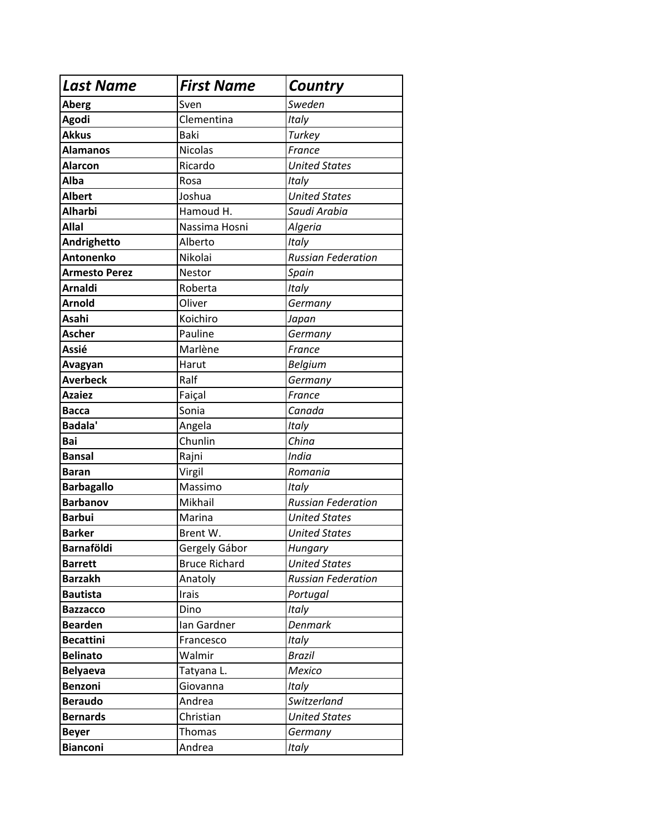| <b>Last Name</b>     | <b>First Name</b>    | Country                   |
|----------------------|----------------------|---------------------------|
| Aberg                | Sven                 | Sweden                    |
| Agodi                | Clementina           | Italy                     |
| <b>Akkus</b>         | Baki                 | Turkey                    |
| <b>Alamanos</b>      | Nicolas              | France                    |
| <b>Alarcon</b>       | Ricardo              | <b>United States</b>      |
| Alba                 | Rosa                 | Italy                     |
| <b>Albert</b>        | Joshua               | <b>United States</b>      |
| <b>Alharbi</b>       | Hamoud H.            | Saudi Arabia              |
| <b>Allal</b>         | Nassima Hosni        | Algeria                   |
| Andrighetto          | Alberto              | Italy                     |
| <b>Antonenko</b>     | Nikolai              | <b>Russian Federation</b> |
| <b>Armesto Perez</b> | Nestor               | Spain                     |
| <b>Arnaldi</b>       | Roberta              | Italy                     |
| <b>Arnold</b>        | Oliver               | Germany                   |
| Asahi                | Koichiro             | Japan                     |
| <b>Ascher</b>        | Pauline              | Germany                   |
| Assié                | Marlène              | France                    |
| Avagyan              | Harut                | <b>Belgium</b>            |
| <b>Averbeck</b>      | Ralf                 | Germany                   |
| <b>Azaiez</b>        | Faiçal               | France                    |
| <b>Bacca</b>         | Sonia                | Canada                    |
| <b>Badala'</b>       | Angela               | Italy                     |
| Bai                  | Chunlin              | China                     |
| <b>Bansal</b>        | Rajni                | India                     |
| <b>Baran</b>         | Virgil               | Romania                   |
| <b>Barbagallo</b>    | Massimo              | Italy                     |
| <b>Barbanov</b>      | Mikhail              | <b>Russian Federation</b> |
| <b>Barbui</b>        | Marina               | <b>United States</b>      |
| <b>Barker</b>        | Brent W.             | <b>United States</b>      |
| Barnaföldi           | Gergely Gábor        | <b>Hungary</b>            |
| <b>Barrett</b>       | <b>Bruce Richard</b> | <b>United States</b>      |
| <b>Barzakh</b>       | Anatoly              | <b>Russian Federation</b> |
| <b>Bautista</b>      | Irais                | Portugal                  |
| <b>Bazzacco</b>      | Dino                 | <b>Italy</b>              |
| <b>Bearden</b>       | Ian Gardner          | <b>Denmark</b>            |
| <b>Becattini</b>     | Francesco            | <b>Italy</b>              |
| <b>Belinato</b>      | Walmir               | <b>Brazil</b>             |
| <b>Belyaeva</b>      | Tatyana L.           | <b>Mexico</b>             |
| Benzoni              | Giovanna             | Italy                     |
| <b>Beraudo</b>       | Andrea               | Switzerland               |
| <b>Bernards</b>      | Christian            | <b>United States</b>      |
| <b>Beyer</b>         | Thomas               | Germany                   |
| <b>Bianconi</b>      | Andrea               | <b>Italy</b>              |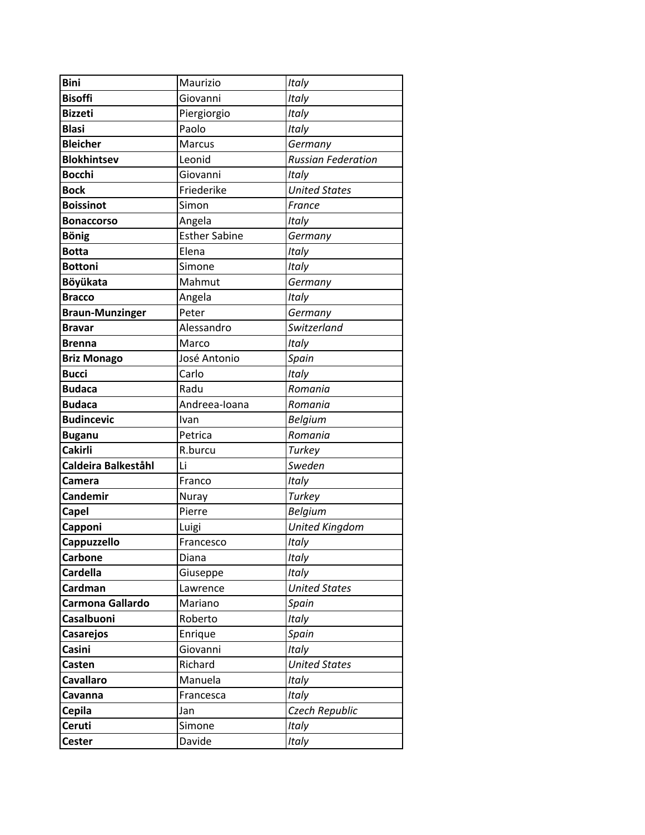| <b>Bini</b>            | Maurizio             | Italy                     |
|------------------------|----------------------|---------------------------|
| <b>Bisoffi</b>         | Giovanni             | Italy                     |
| <b>Bizzeti</b>         | Piergiorgio          | Italy                     |
| <b>Blasi</b>           | Paolo                | Italy                     |
| <b>Bleicher</b>        | <b>Marcus</b>        | Germany                   |
| <b>Blokhintsev</b>     | Leonid               | <b>Russian Federation</b> |
| <b>Bocchi</b>          | Giovanni             | Italy                     |
| <b>Bock</b>            | Friederike           | <b>United States</b>      |
| <b>Boissinot</b>       | Simon                | France                    |
| <b>Bonaccorso</b>      | Angela               | Italy                     |
| <b>Bönig</b>           | <b>Esther Sabine</b> | Germany                   |
| <b>Botta</b>           | Elena                | Italy                     |
| <b>Bottoni</b>         | Simone               | Italy                     |
| Böyükata               | Mahmut               | Germany                   |
| <b>Bracco</b>          | Angela               | Italy                     |
| <b>Braun-Munzinger</b> | Peter                | Germany                   |
| Bravar                 | Alessandro           | Switzerland               |
| <b>Brenna</b>          | Marco                | Italy                     |
| <b>Briz Monago</b>     | José Antonio         | Spain                     |
| <b>Bucci</b>           | Carlo                | Italy                     |
| <b>Budaca</b>          | Radu                 | Romania                   |
| <b>Budaca</b>          | Andreea-Ioana        | Romania                   |
|                        |                      |                           |
| <b>Budincevic</b>      | Ivan                 | <b>Belgium</b>            |
| <b>Buganu</b>          | Petrica              | Romania                   |
| <b>Cakirli</b>         | R.burcu              | <b>Turkey</b>             |
| Caldeira Balkeståhl    | Li                   | Sweden                    |
| Camera                 | Franco               | Italy                     |
| <b>Candemir</b>        | Nuray                | Turkey                    |
| <b>Capel</b>           | Pierre               | Belgium                   |
| Capponi                | Luigi                | <b>United Kingdom</b>     |
| Cappuzzello            | Francesco            | Italy                     |
| <b>Carbone</b>         | Diana                | Italy                     |
| <b>Cardella</b>        | Giuseppe             | Italy                     |
| Cardman                | Lawrence             | <b>United States</b>      |
| Carmona Gallardo       | Mariano              | Spain                     |
| Casalbuoni             | Roberto              | Italy                     |
| <b>Casarejos</b>       | Enrique              | Spain                     |
| Casini                 | Giovanni             | Italy                     |
| Casten                 | Richard              | <b>United States</b>      |
| <b>Cavallaro</b>       | Manuela              | Italy                     |
| Cavanna                | Francesca            | Italy                     |
| <b>Cepila</b>          | Jan                  | Czech Republic            |
| Ceruti                 | Simone<br>Davide     | Italy<br>Italy            |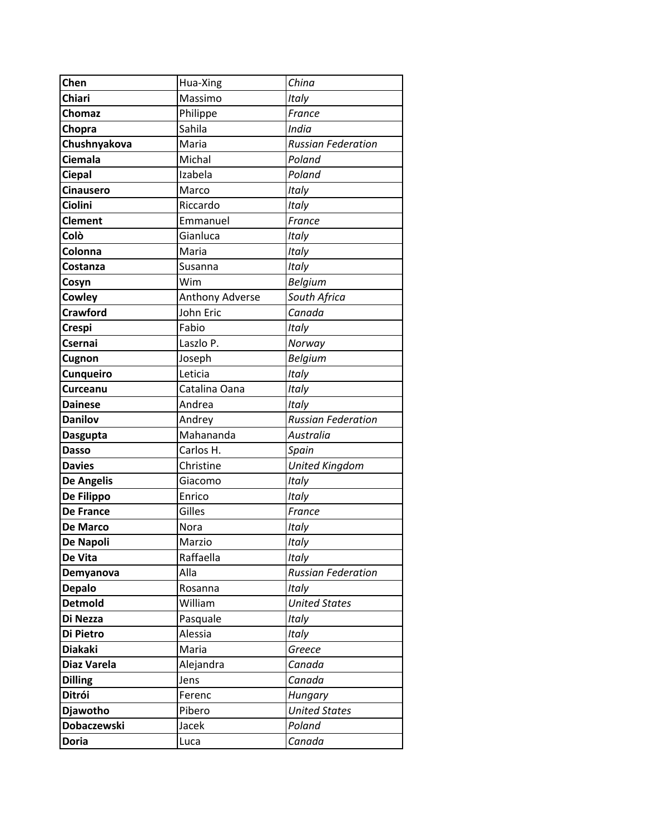| Chen               |                     | China                     |
|--------------------|---------------------|---------------------------|
| Chiari             | Hua-Xing<br>Massimo |                           |
|                    |                     | Italy                     |
| Chomaz             | Philippe<br>Sahila  | France                    |
| Chopra             |                     | India                     |
| Chushnyakova       | Maria               | <b>Russian Federation</b> |
| Ciemala            | Michal              | Poland                    |
| <b>Ciepal</b>      | Izabela             | Poland                    |
| <b>Cinausero</b>   | Marco               | Italy                     |
| Ciolini            | Riccardo            | Italy                     |
| <b>Clement</b>     | Emmanuel            | France                    |
| Colò               | Gianluca            | Italy                     |
| Colonna            | Maria               | Italy                     |
| Costanza           | Susanna             | Italy                     |
| Cosyn              | Wim                 | <b>Belgium</b>            |
| Cowley             | Anthony Adverse     | South Africa              |
| <b>Crawford</b>    | John Eric           | Canada                    |
| <b>Crespi</b>      | Fabio               | Italy                     |
| Csernai            | Laszlo P.           | Norway                    |
| Cugnon             | Joseph              | Belgium                   |
| Cunqueiro          | Leticia             | Italy                     |
| <b>Curceanu</b>    | Catalina Oana       | Italy                     |
| <b>Dainese</b>     | Andrea              | Italy                     |
| <b>Danilov</b>     | Andrey              | <b>Russian Federation</b> |
| <b>Dasgupta</b>    | Mahananda           | Australia                 |
| <b>Dasso</b>       | Carlos H.           | Spain                     |
| <b>Davies</b>      | Christine           | <b>United Kingdom</b>     |
| <b>De Angelis</b>  | Giacomo             | Italy                     |
| De Filippo         | Enrico              | Italy                     |
| <b>De France</b>   | Gilles              | France                    |
| De Marco           | Nora                | Italy                     |
| De Napoli          | Marzio              | Italy                     |
| De Vita            | Raffaella           | <b>Italy</b>              |
| Demyanova          | Alla                | <b>Russian Federation</b> |
| <b>Depalo</b>      | Rosanna             | Italy                     |
| <b>Detmold</b>     | William             | <b>United States</b>      |
| Di Nezza           | Pasquale            | Italy                     |
| Di Pietro          | Alessia             | Italy                     |
| <b>Diakaki</b>     | Maria               | Greece                    |
| Diaz Varela        | Alejandra           | Canada                    |
| <b>Dilling</b>     | Jens                | Canada                    |
| Ditrói             | Ferenc              | Hungary                   |
| Djawotho           | Pibero              | <b>United States</b>      |
| <b>Dobaczewski</b> | Jacek               | Poland                    |
| <b>Doria</b>       | Luca                | Canada                    |
|                    |                     |                           |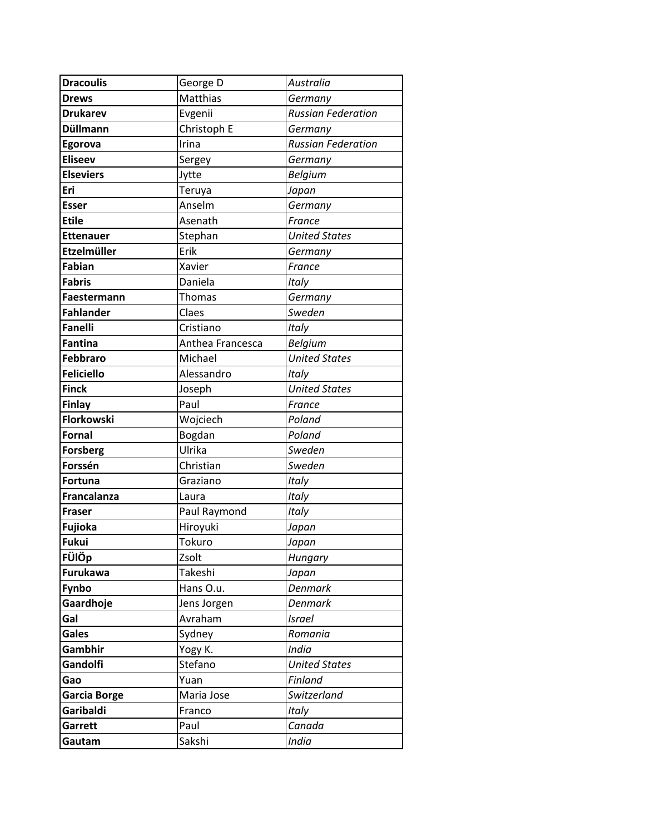| <b>Dracoulis</b>   | George D         | Australia                 |
|--------------------|------------------|---------------------------|
| <b>Drews</b>       | Matthias         | Germany                   |
| <b>Drukarev</b>    | Evgenii          | <b>Russian Federation</b> |
| <b>Düllmann</b>    | Christoph E      | Germany                   |
| Egorova            | Irina            | <b>Russian Federation</b> |
| <b>Eliseev</b>     | Sergey           | Germany                   |
| <b>Elseviers</b>   | Jytte            | <b>Belgium</b>            |
| Eri                | Teruya           | Japan                     |
| <b>Esser</b>       | Anselm           | Germany                   |
| <b>Etile</b>       | Asenath          | France                    |
| <b>Ettenauer</b>   | Stephan          | <b>United States</b>      |
| <b>Etzelmüller</b> | Erik             | Germany                   |
| <b>Fabian</b>      | Xavier           | France                    |
| <b>Fabris</b>      | Daniela          | Italy                     |
| Faestermann        | Thomas           | Germany                   |
| <b>Fahlander</b>   | Claes            | Sweden                    |
| Fanelli            | Cristiano        | Italy                     |
| <b>Fantina</b>     | Anthea Francesca | <b>Belgium</b>            |
| <b>Febbraro</b>    | Michael          | <b>United States</b>      |
| <b>Feliciello</b>  | Alessandro       | Italy                     |
| <b>Finck</b>       | Joseph           | <b>United States</b>      |
| <b>Finlay</b>      | Paul             | France                    |
| <b>Florkowski</b>  | Wojciech         | Poland                    |
| <b>Fornal</b>      | Bogdan           | Poland                    |
| <b>Forsberg</b>    | Ulrika           | Sweden                    |
| Forssén            | Christian        | Sweden                    |
| <b>Fortuna</b>     | Graziano         | Italy                     |
| <b>Francalanza</b> | Laura            | Italy                     |
| Fraser             | Paul Raymond     | Italy                     |
| Fujioka            | Hiroyuki         | Japan                     |
| <b>Fukui</b>       | Tokuro           | Japan                     |
| FÜlÖp              | Zsolt            | Hungary                   |
| <b>Furukawa</b>    | Takeshi          | Japan                     |
| Fynbo              | Hans O.u.        | <b>Denmark</b>            |
| Gaardhoje          | Jens Jorgen      | <b>Denmark</b>            |
| Gal                | Avraham          | <b>Israel</b>             |
| <b>Gales</b>       | Sydney           | Romania                   |
| Gambhir            | Yogy K.          | <b>India</b>              |
| Gandolfi           | Stefano          | <b>United States</b>      |
| Gao                | Yuan             | Finland                   |
| Garcia Borge       | Maria Jose       | Switzerland               |
| Garibaldi          | Franco           | Italy                     |
| Garrett            | Paul             | Canada                    |
| Gautam             | Sakshi           | <b>India</b>              |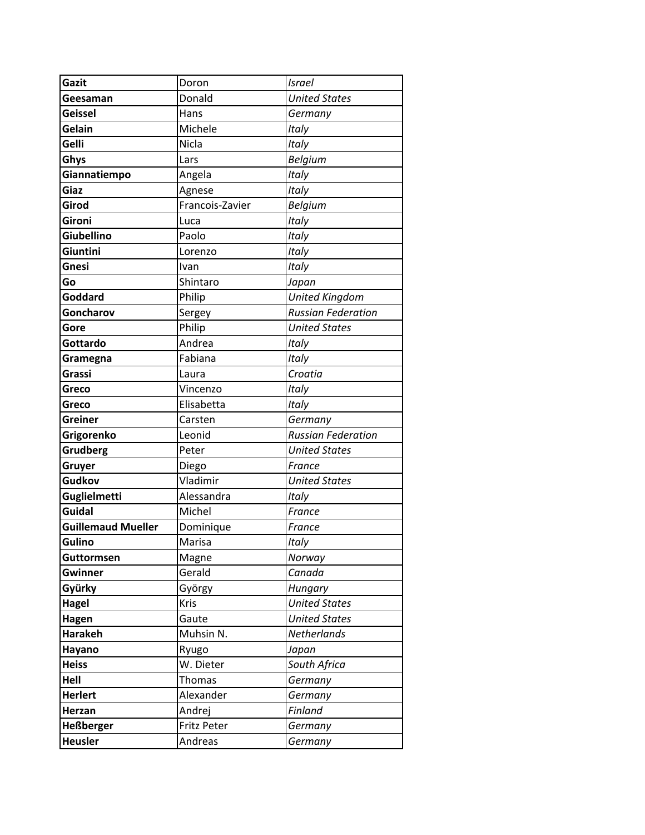| Gazit                     | Doron           | <b>Israel</b>             |
|---------------------------|-----------------|---------------------------|
| Geesaman                  | Donald          | <b>United States</b>      |
| <b>Geissel</b>            | Hans            | Germany                   |
| Gelain                    | Michele         | Italy                     |
| Gelli                     | Nicla           | Italy                     |
| Ghys                      | Lars            | <b>Belgium</b>            |
| Giannatiempo              | Angela          | Italy                     |
| Giaz                      | Agnese          | Italy                     |
| Girod                     | Francois-Zavier | <b>Belgium</b>            |
| Gironi                    | Luca            | Italy                     |
| <b>Giubellino</b>         | Paolo           | Italy                     |
| Giuntini                  | Lorenzo         | Italy                     |
| Gnesi                     | Ivan            | Italy                     |
| Go                        | Shintaro        | Japan                     |
| Goddard                   | Philip          | <b>United Kingdom</b>     |
| Goncharov                 | Sergey          | <b>Russian Federation</b> |
| Gore                      | Philip          | <b>United States</b>      |
| Gottardo                  | Andrea          | Italy                     |
| Gramegna                  | Fabiana         | Italy                     |
| Grassi                    | Laura           | Croatia                   |
| Greco                     | Vincenzo        | Italy                     |
| Greco                     | Elisabetta      | Italy                     |
| <b>Greiner</b>            | Carsten         | Germany                   |
| Grigorenko                | Leonid          | <b>Russian Federation</b> |
| <b>Grudberg</b>           | Peter           | <b>United States</b>      |
| Gruyer                    | Diego           | France                    |
| <b>Gudkov</b>             | Vladimir        | <b>United States</b>      |
| <b>Guglielmetti</b>       | Alessandra      | Italy                     |
| <b>Guidal</b>             | Michel          | France                    |
| <b>Guillemaud Mueller</b> | Dominique       | France                    |
| Gulino                    | Marisa          | Italy                     |
| <b>Guttormsen</b>         | Magne           | Norway                    |
| <b>Gwinner</b>            | Gerald          | Canada                    |
| Gyürky                    | György          | Hungary                   |
| Hagel                     | Kris            | <b>United States</b>      |
| Hagen                     | Gaute           | <b>United States</b>      |
| <b>Harakeh</b>            | Muhsin N.       | Netherlands               |
| Hayano                    | Ryugo           | Japan                     |
| <b>Heiss</b>              | W. Dieter       | South Africa              |
| Hell                      | Thomas          | Germany                   |
| <b>Herlert</b>            | Alexander       | Germany                   |
| Herzan                    | Andrej          | Finland                   |
| <b>Heßberger</b>          | Fritz Peter     | Germany                   |
| <b>Heusler</b>            | Andreas         | Germany                   |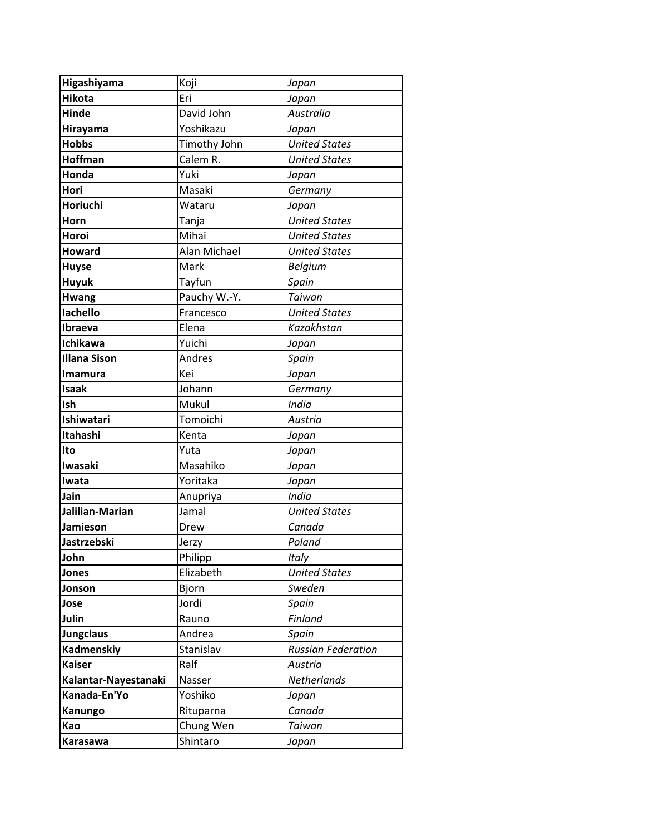| Higashiyama          | Koji         | Japan                     |
|----------------------|--------------|---------------------------|
| <b>Hikota</b>        | Eri          | Japan                     |
| <b>Hinde</b>         | David John   | Australia                 |
| Hirayama             | Yoshikazu    | Japan                     |
| <b>Hobbs</b>         | Timothy John | <b>United States</b>      |
| <b>Hoffman</b>       | Calem R.     | <b>United States</b>      |
| Honda                | Yuki         | Japan                     |
| Hori                 | Masaki       | Germany                   |
| Horiuchi             | Wataru       | Japan                     |
| Horn                 | Tanja        | <b>United States</b>      |
| Horoi                | Mihai        | <b>United States</b>      |
| <b>Howard</b>        | Alan Michael | <b>United States</b>      |
| <b>Huyse</b>         | Mark         | <b>Belgium</b>            |
| <b>Huyuk</b>         | Tayfun       | Spain                     |
| <b>Hwang</b>         | Pauchy W.-Y. | Taiwan                    |
| lachello             | Francesco    | <b>United States</b>      |
| Ibraeva              | Elena        | Kazakhstan                |
| Ichikawa             | Yuichi       | Japan                     |
| <b>Illana Sison</b>  | Andres       | Spain                     |
| <b>Imamura</b>       | Kei          | Japan                     |
| <b>Isaak</b>         | Johann       | Germany                   |
| Ish                  | Mukul        | <b>India</b>              |
| Ishiwatari           | Tomoichi     | Austria                   |
| Itahashi             | Kenta        | Japan                     |
| Ito                  | Yuta         | Japan                     |
| <b>Iwasaki</b>       | Masahiko     | Japan                     |
| Iwata                | Yoritaka     | Japan                     |
| Jain                 | Anupriya     | <b>India</b>              |
| Jalilian-Marian      | Jamal        | <b>United States</b>      |
| Jamieson             | Drew         | Canada                    |
| Jastrzebski          | Jerzy        | Poland                    |
| John                 | Philipp      | Italy                     |
| Jones                | Elizabeth    | <b>United States</b>      |
| Jonson               | Bjorn        | Sweden                    |
| Jose                 | Jordi        | Spain                     |
| Julin                | Rauno        | Finland                   |
| <b>Jungclaus</b>     | Andrea       | Spain                     |
| <b>Kadmenskiy</b>    | Stanislav    | <b>Russian Federation</b> |
| <b>Kaiser</b>        | Ralf         | Austria                   |
| Kalantar-Nayestanaki | Nasser       | Netherlands               |
| Kanada-En'Yo         | Yoshiko      | Japan                     |
| Kanungo              | Rituparna    | Canada                    |
| Kao                  | Chung Wen    | Taiwan                    |
| <b>Karasawa</b>      | Shintaro     | Japan                     |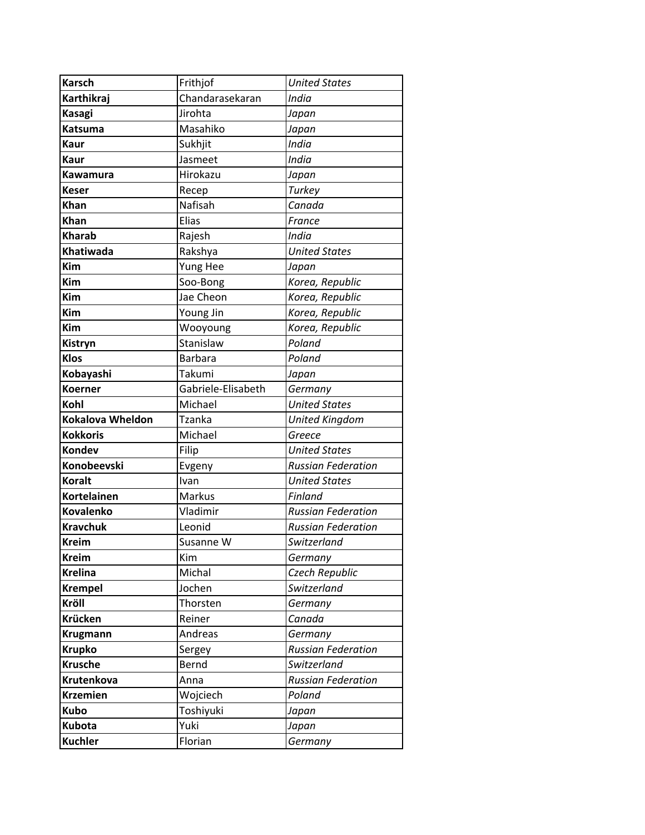| <b>Karsch</b>      | Frithjof           | <b>United States</b>      |
|--------------------|--------------------|---------------------------|
| Karthikraj         | Chandarasekaran    | <b>India</b>              |
| Kasagi             | Jirohta            | Japan                     |
| <b>Katsuma</b>     | Masahiko           | Japan                     |
| <b>Kaur</b>        | Sukhjit            | India                     |
| <b>Kaur</b>        | Jasmeet            | India                     |
| Kawamura           | Hirokazu           | Japan                     |
| Keser              | Recep              | Turkey                    |
| Khan               | Nafisah            | Canada                    |
| Khan               | Elias              | France                    |
| <b>Kharab</b>      | Rajesh             | India                     |
| <b>Khatiwada</b>   | Rakshya            | <b>United States</b>      |
| <b>Kim</b>         | Yung Hee           | Japan                     |
| Kim                | Soo-Bong           | Korea, Republic           |
| Kim                | Jae Cheon          | Korea, Republic           |
| Kim                | Young Jin          | Korea, Republic           |
| Kim                | Wooyoung           | Korea, Republic           |
| Kistryn            | Stanislaw          | Poland                    |
| <b>Klos</b>        | <b>Barbara</b>     | Poland                    |
| Kobayashi          | Takumi             | Japan                     |
| <b>Koerner</b>     | Gabriele-Elisabeth | Germany                   |
| Kohl               | Michael            | <b>United States</b>      |
| Kokalova Wheldon   | <b>Tzanka</b>      | <b>United Kingdom</b>     |
| <b>Kokkoris</b>    | Michael            | Greece                    |
| Kondev             | Filip              | <b>United States</b>      |
| <b>Konobeevski</b> | Evgeny             | <b>Russian Federation</b> |
| <b>Koralt</b>      | Ivan               | <b>United States</b>      |
| <b>Kortelainen</b> | Markus             | Finland                   |
| <b>Kovalenko</b>   | Vladimir           | <b>Russian Federation</b> |
| <b>Kravchuk</b>    | Leonid             | <b>Russian Federation</b> |
| <b>Kreim</b>       | Susanne W          | Switzerland               |
| <b>Kreim</b>       | Kim                | Germany                   |
| <b>Krelina</b>     | Michal             | Czech Republic            |
| <b>Krempel</b>     | Jochen             | Switzerland               |
| Kröll              | Thorsten           | Germany                   |
| Krücken            | Reiner             | Canada                    |
| <b>Krugmann</b>    |                    |                           |
|                    | Andreas            | Germany                   |
| <b>Krupko</b>      | Sergey             | <b>Russian Federation</b> |
| <b>Krusche</b>     | Bernd              | Switzerland               |
| Krutenkova         | Anna               | <b>Russian Federation</b> |
| <b>Krzemien</b>    | Wojciech           | Poland                    |
| <b>Kubo</b>        | Toshiyuki          | Japan                     |
| <b>Kubota</b>      | Yuki               | Japan                     |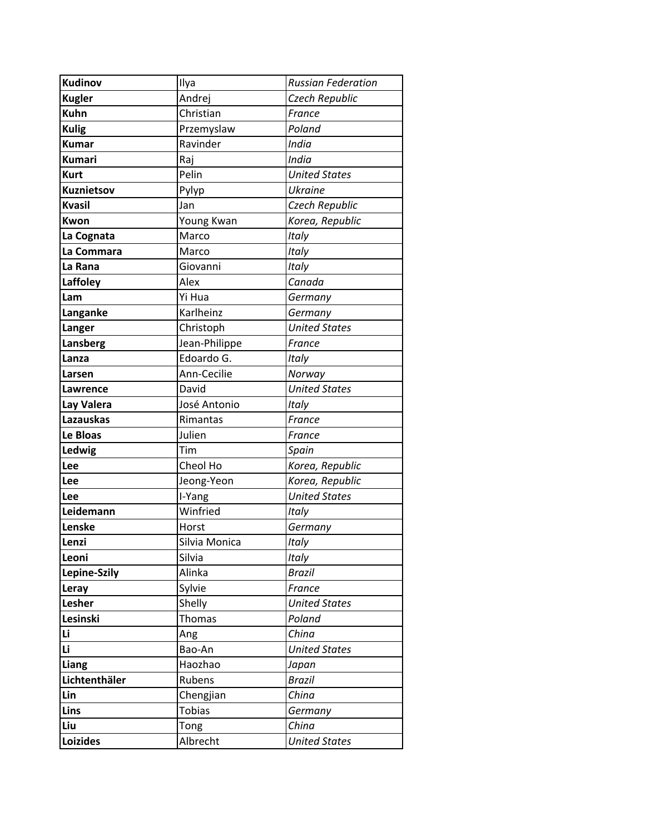| <b>Kudinov</b>    | Ilya          | <b>Russian Federation</b> |
|-------------------|---------------|---------------------------|
| <b>Kugler</b>     | Andrej        | Czech Republic            |
| <b>Kuhn</b>       | Christian     | France                    |
| <b>Kulig</b>      | Przemyslaw    | Poland                    |
| <b>Kumar</b>      | Ravinder      | India                     |
| <b>Kumari</b>     | Raj           | India                     |
| <b>Kurt</b>       | Pelin         | <b>United States</b>      |
| <b>Kuznietsov</b> | Pylyp         | <b>Ukraine</b>            |
| <b>Kvasil</b>     | Jan           | Czech Republic            |
| Kwon              | Young Kwan    | Korea, Republic           |
| La Cognata        | Marco         | Italy                     |
| La Commara        | Marco         | Italy                     |
| La Rana           | Giovanni      | Italy                     |
| Laffoley          | Alex          | Canada                    |
| Lam               | Yi Hua        | Germany                   |
| Langanke          | Karlheinz     | Germany                   |
| Langer            | Christoph     | <b>United States</b>      |
| Lansberg          | Jean-Philippe | France                    |
| Lanza             | Edoardo G.    | Italy                     |
| Larsen            | Ann-Cecilie   | Norway                    |
| Lawrence          | David         | <b>United States</b>      |
| Lay Valera        | José Antonio  | Italy                     |
| <b>Lazauskas</b>  | Rimantas      | France                    |
| Le Bloas          | Julien        | France                    |
| Ledwig            | Tim           | Spain                     |
| Lee               | Cheol Ho      | Korea, Republic           |
| Lee               | Jeong-Yeon    | Korea, Republic           |
| Lee               | I-Yang        | <b>United States</b>      |
| Leidemann         | Winfried      | Italy                     |
| Lenske            | Horst         | Germany                   |
| Lenzi             | Silvia Monica | Italy                     |
| Leoni             | Silvia        | Italy                     |
| Lepine-Szily      | Alinka        | <b>Brazil</b>             |
| Leray             | Sylvie        | France                    |
| Lesher            | Shelly        | <b>United States</b>      |
| Lesinski          | <b>Thomas</b> | Poland                    |
| Li                | Ang           | China                     |
| Li                | Bao-An        | <b>United States</b>      |
| <b>Liang</b>      | Haozhao       | Japan                     |
| Lichtenthäler     | Rubens        | <b>Brazil</b>             |
| Lin               | Chengjian     | China                     |
| Lins              | <b>Tobias</b> | Germany                   |
| Liu               | Tong          | China                     |
| <b>Loizides</b>   | Albrecht      | <b>United States</b>      |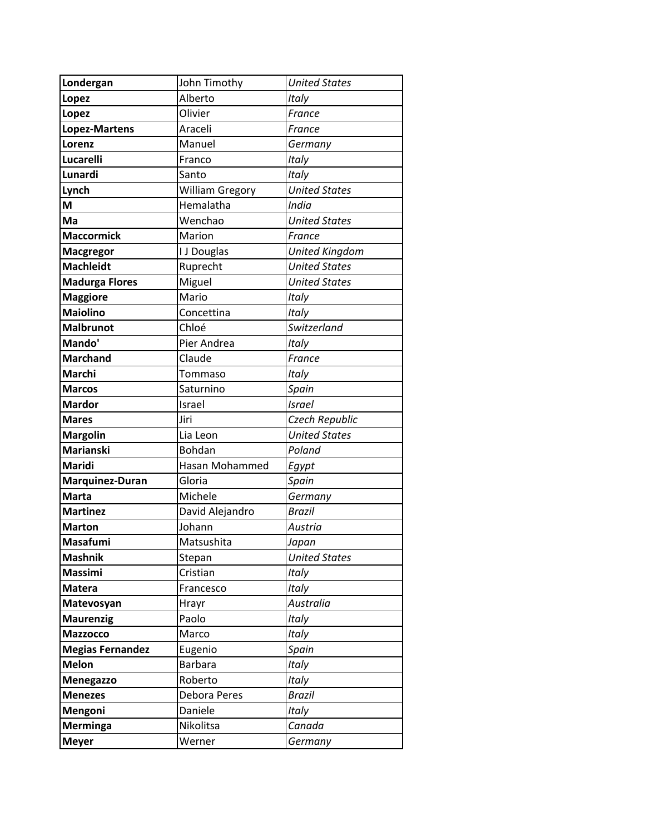| Londergan               | John Timothy           | <b>United States</b>  |
|-------------------------|------------------------|-----------------------|
| Lopez                   | Alberto                | Italy                 |
| Lopez                   | Olivier                | France                |
| <b>Lopez-Martens</b>    | Araceli                | France                |
| Lorenz                  | Manuel                 | Germany               |
| Lucarelli               | Franco                 | Italy                 |
| Lunardi                 | Santo                  | Italy                 |
| Lynch                   | <b>William Gregory</b> | <b>United States</b>  |
| M                       | Hemalatha              | India                 |
| Ma                      | Wenchao                | <b>United States</b>  |
| <b>Maccormick</b>       | Marion                 | France                |
| <b>Macgregor</b>        | I J Douglas            | <b>United Kingdom</b> |
| <b>Machleidt</b>        | Ruprecht               | <b>United States</b>  |
| <b>Madurga Flores</b>   | Miguel                 | <b>United States</b>  |
| <b>Maggiore</b>         | Mario                  | Italy                 |
| <b>Maiolino</b>         | Concettina             | Italy                 |
| <b>Malbrunot</b>        | Chloé                  | Switzerland           |
| Mando'                  | Pier Andrea            | Italy                 |
| <b>Marchand</b>         | Claude                 | France                |
| Marchi                  | Tommaso                | Italy                 |
| <b>Marcos</b>           | Saturnino              | Spain                 |
| <b>Mardor</b>           | Israel                 | <b>Israel</b>         |
| <b>Mares</b>            | Jiri                   | Czech Republic        |
| <b>Margolin</b>         | Lia Leon               | <b>United States</b>  |
| <b>Marianski</b>        | Bohdan                 | Poland                |
| Maridi                  | Hasan Mohammed         | Egypt                 |
| Marquinez-Duran         | Gloria                 | Spain                 |
| <b>Marta</b>            | Michele                | Germany               |
| <b>Martinez</b>         | David Alejandro        | <b>Brazil</b>         |
| <b>Marton</b>           | Johann                 | Austria               |
| <b>Masafumi</b>         | Matsushita             | Japan                 |
| <b>Mashnik</b>          | Stepan                 | <b>United States</b>  |
| <b>Massimi</b>          | Cristian               | <b>Italy</b>          |
| <b>Matera</b>           | Francesco              | Italy                 |
| Matevosyan              | Hrayr                  | Australia             |
| <b>Maurenzig</b>        | Paolo                  | Italy                 |
| <b>Mazzocco</b>         | Marco                  | Italy                 |
| <b>Megias Fernandez</b> | Eugenio                | Spain                 |
| <b>Melon</b>            | <b>Barbara</b>         | Italy                 |
| Menegazzo               | Roberto                | Italy                 |
| <b>Menezes</b>          | Debora Peres           | <b>Brazil</b>         |
| Mengoni                 | Daniele                | Italy                 |
| <b>Merminga</b>         | Nikolitsa              | Canada                |
| <b>Meyer</b>            | Werner                 | Germany               |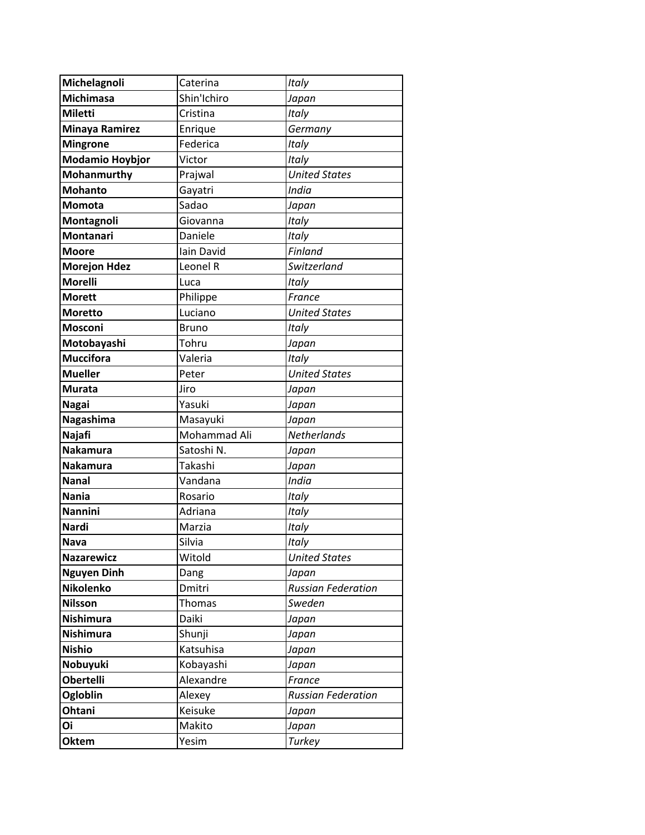| Michelagnoli           | Caterina     | Italy                     |
|------------------------|--------------|---------------------------|
| <b>Michimasa</b>       | Shin'Ichiro  | Japan                     |
| Miletti                | Cristina     | Italy                     |
| <b>Minaya Ramirez</b>  | Enrique      | Germany                   |
| <b>Mingrone</b>        | Federica     | Italy                     |
| <b>Modamio Hoybjor</b> | Victor       | Italy                     |
| Mohanmurthy            | Prajwal      | <b>United States</b>      |
| <b>Mohanto</b>         | Gayatri      | India                     |
| Momota                 | Sadao        | Japan                     |
| Montagnoli             | Giovanna     | Italy                     |
| Montanari              | Daniele      | Italy                     |
| <b>Moore</b>           | Iain David   | Finland                   |
| <b>Morejon Hdez</b>    | Leonel R     | Switzerland               |
| <b>Morelli</b>         | Luca         | Italy                     |
| <b>Morett</b>          | Philippe     | France                    |
| <b>Moretto</b>         | Luciano      | <b>United States</b>      |
| Mosconi                | <b>Bruno</b> | Italy                     |
| Motobayashi            | Tohru        | Japan                     |
| <b>Muccifora</b>       | Valeria      | Italy                     |
| <b>Mueller</b>         | Peter        | <b>United States</b>      |
| <b>Murata</b>          | Jiro         | Japan                     |
| <b>Nagai</b>           | Yasuki       | Japan                     |
| Nagashima              | Masayuki     | Japan                     |
| Najafi                 | Mohammad Ali | Netherlands               |
| <b>Nakamura</b>        | Satoshi N.   | Japan                     |
| Nakamura               | Takashi      | Japan                     |
| <b>Nanal</b>           | Vandana      | India                     |
| <b>Nania</b>           | Rosario      | Italy                     |
| <b>Nannini</b>         | Adriana      | Italy                     |
| <b>Nardi</b>           | Marzia       | Italy                     |
| <b>Nava</b>            | Silvia       | Italy                     |
| <b>Nazarewicz</b>      | Witold       | <b>United States</b>      |
| <b>Nguyen Dinh</b>     | Dang         | Japan                     |
| <b>Nikolenko</b>       | Dmitri       | <b>Russian Federation</b> |
| <b>Nilsson</b>         | Thomas       | Sweden                    |
| <b>Nishimura</b>       | Daiki        | Japan                     |
| Nishimura              | Shunji       | Japan                     |
| <b>Nishio</b>          | Katsuhisa    | Japan                     |
| Nobuyuki               | Kobayashi    | Japan                     |
| <b>Obertelli</b>       | Alexandre    | France                    |
| Ogloblin               | Alexey       | <b>Russian Federation</b> |
| Ohtani                 | Keisuke      | Japan                     |
| Oi                     | Makito       | Japan                     |
| <b>Oktem</b>           | Yesim        | <b>Turkey</b>             |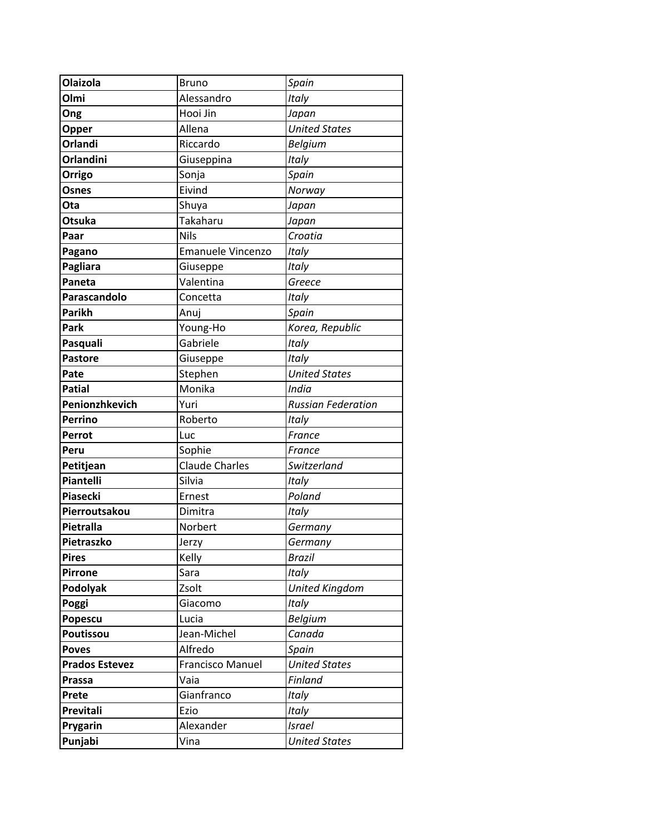| Olaizola              | <b>Bruno</b>             | Spain                     |
|-----------------------|--------------------------|---------------------------|
| Olmi                  | Alessandro               | Italy                     |
| Ong                   | Hooi Jin                 | Japan                     |
| Opper                 | Allena                   | <b>United States</b>      |
| Orlandi               | Riccardo                 | <b>Belgium</b>            |
| <b>Orlandini</b>      | Giuseppina               | Italy                     |
| Orrigo                | Sonja                    | Spain                     |
| Osnes                 | Eivind                   | Norway                    |
| Ota                   | Shuya                    | Japan                     |
| <b>Otsuka</b>         | <b>Takaharu</b>          | Japan                     |
| Paar                  | <b>Nils</b>              | Croatia                   |
| Pagano                | <b>Emanuele Vincenzo</b> | Italy                     |
| Pagliara              | Giuseppe                 | Italy                     |
| Paneta                | Valentina                | Greece                    |
| Parascandolo          | Concetta                 | Italy                     |
| <b>Parikh</b>         | Anuj                     | Spain                     |
| Park                  | Young-Ho                 | Korea, Republic           |
| Pasquali              | Gabriele                 | Italy                     |
| <b>Pastore</b>        | Giuseppe                 | Italy                     |
| Pate                  | Stephen                  | <b>United States</b>      |
| <b>Patial</b>         | Monika                   | India                     |
| Penionzhkevich        | Yuri                     | <b>Russian Federation</b> |
| <b>Perrino</b>        | Roberto                  | <b>Italy</b>              |
| Perrot                | Luc                      | France                    |
| Peru                  | Sophie                   | France                    |
| Petitjean             | <b>Claude Charles</b>    | Switzerland               |
| Piantelli             | Silvia                   | Italy                     |
| <b>Piasecki</b>       | Ernest                   | Poland                    |
| Pierroutsakou         | Dimitra                  | Italy                     |
| Pietralla             | Norbert                  | Germany                   |
| Pietraszko            | Jerzy                    | Germany                   |
| <b>Pires</b>          | Kelly                    | <b>Brazil</b>             |
| <b>Pirrone</b>        | Sara                     | Italy                     |
| Podolyak              | Zsolt                    | <b>United Kingdom</b>     |
| Poggi                 | Giacomo                  | Italy                     |
| Popescu               | Lucia                    | <b>Belgium</b>            |
| Poutissou             | Jean-Michel              | Canada                    |
| <b>Poves</b>          | Alfredo                  | Spain                     |
| <b>Prados Estevez</b> | Francisco Manuel         | <b>United States</b>      |
| Prassa                | Vaia                     | Finland                   |
| Prete                 | Gianfranco               | Italy                     |
| Previtali             | Ezio                     | Italy                     |
| Prygarin              | Alexander                | <b>Israel</b>             |
| Punjabi               | Vina                     | <b>United States</b>      |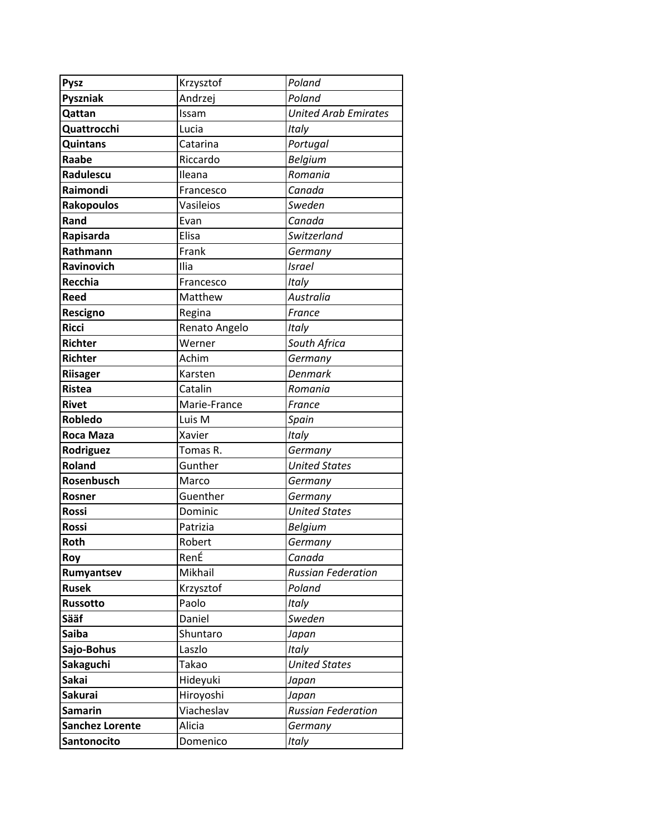| <b>Pysz</b>            | Krzysztof     | Poland                      |
|------------------------|---------------|-----------------------------|
| <b>Pyszniak</b>        | Andrzej       | Poland                      |
| Qattan                 | Issam         | <b>United Arab Emirates</b> |
| Quattrocchi            | Lucia         | Italy                       |
| <b>Quintans</b>        | Catarina      | Portugal                    |
| Raabe                  | Riccardo      | Belgium                     |
| Radulescu              | Ileana        | Romania                     |
| Raimondi               | Francesco     | Canada                      |
| <b>Rakopoulos</b>      | Vasileios     | Sweden                      |
| Rand                   | Evan          | Canada                      |
| Rapisarda              | Elisa         | <b>Switzerland</b>          |
| Rathmann               | Frank         | Germany                     |
| Ravinovich             | Ilia          | <b>Israel</b>               |
| Recchia                | Francesco     | Italy                       |
| Reed                   | Matthew       | Australia                   |
| Rescigno               | Regina        | France                      |
| <b>Ricci</b>           | Renato Angelo | Italy                       |
| <b>Richter</b>         | Werner        | South Africa                |
| <b>Richter</b>         | Achim         | Germany                     |
| <b>Riisager</b>        | Karsten       | <b>Denmark</b>              |
| <b>Ristea</b>          | Catalin       | Romania                     |
| <b>Rivet</b>           | Marie-France  | France                      |
| <b>Robledo</b>         | Luis M        | Spain                       |
| Roca Maza              | Xavier        | Italy                       |
| Rodriguez              | Tomas R.      | Germany                     |
| <b>Roland</b>          | Gunther       | <b>United States</b>        |
| Rosenbusch             | Marco         | Germany                     |
| Rosner                 | Guenther      | Germany                     |
| <b>Rossi</b>           | Dominic       | <b>United States</b>        |
| <b>Rossi</b>           | Patrizia      | <b>Belgium</b>              |
| <b>Roth</b>            | Robert        | Germany                     |
| Roy                    | RenÉ          | Canada                      |
| Rumyantsev             | Mikhail       | <b>Russian Federation</b>   |
| <b>Rusek</b>           | Krzysztof     | Poland                      |
| Russotto               | Paolo         | Italy                       |
| Sääf                   | Daniel        | Sweden                      |
| <b>Saiba</b>           | Shuntaro      | Japan                       |
| Sajo-Bohus             | Laszlo        | <b>Italy</b>                |
| Sakaguchi              | Takao         | <b>United States</b>        |
| <b>Sakai</b>           | Hideyuki      | Japan                       |
| <b>Sakurai</b>         | Hiroyoshi     | Japan                       |
| <b>Samarin</b>         | Viacheslav    | <b>Russian Federation</b>   |
| <b>Sanchez Lorente</b> | Alicia        | Germany                     |
| Santonocito            | Domenico      | Italy                       |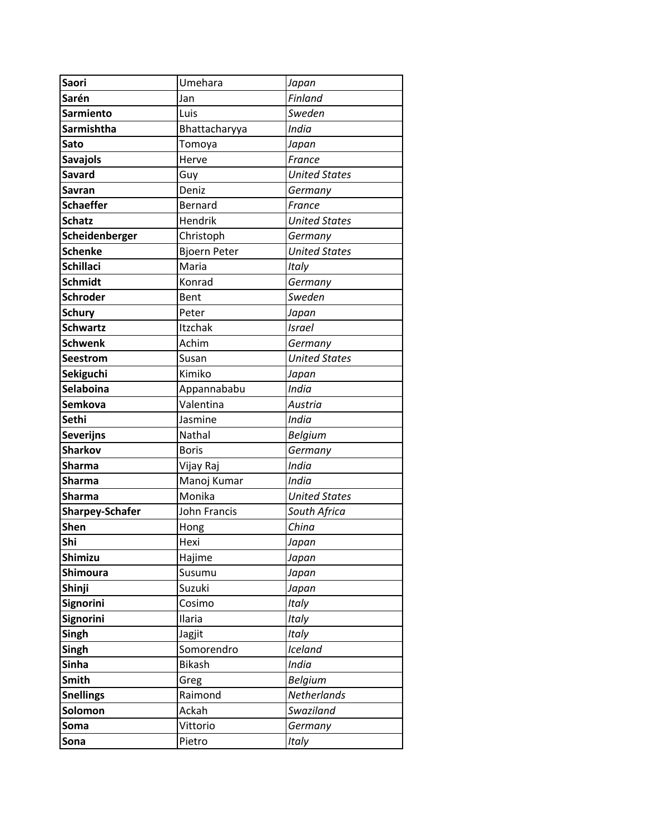| <b>Saori</b>           | Umehara             | Japan                |
|------------------------|---------------------|----------------------|
| Sarén                  | Jan                 | Finland              |
| <b>Sarmiento</b>       | Luis                | Sweden               |
| <b>Sarmishtha</b>      | Bhattacharyya       | India                |
| Sato                   | Tomoya              | Japan                |
| <b>Savajols</b>        | Herve               | France               |
| Savard                 | Guy                 | <b>United States</b> |
| Savran                 | Deniz               | Germany              |
| <b>Schaeffer</b>       | Bernard             | France               |
| <b>Schatz</b>          | Hendrik             | <b>United States</b> |
| Scheidenberger         | Christoph           | Germany              |
| <b>Schenke</b>         | <b>Bjoern Peter</b> | <b>United States</b> |
| <b>Schillaci</b>       | Maria               | Italy                |
| <b>Schmidt</b>         | Konrad              | Germany              |
| <b>Schroder</b>        | Bent                | Sweden               |
| <b>Schury</b>          | Peter               | Japan                |
| <b>Schwartz</b>        | Itzchak             | <b>Israel</b>        |
| <b>Schwenk</b>         | Achim               | Germany              |
| <b>Seestrom</b>        | Susan               | <b>United States</b> |
| <b>Sekiguchi</b>       | Kimiko              | Japan                |
| <b>Selaboina</b>       | Appannababu         | India                |
| <b>Semkova</b>         | Valentina           | Austria              |
| Sethi                  | Jasmine             | India                |
| <b>Severijns</b>       | Nathal              | <b>Belgium</b>       |
| <b>Sharkov</b>         | <b>Boris</b>        | Germany              |
| <b>Sharma</b>          | Vijay Raj           | India                |
| <b>Sharma</b>          | Manoj Kumar         | India                |
| <b>Sharma</b>          | Monika              | <b>United States</b> |
| <b>Sharpey-Schafer</b> | John Francis        | South Africa         |
| <b>Shen</b>            | Hong                | China                |
| Shi                    | Hexi                | Japan                |
| Shimizu                | Hajime              | Japan                |
| <b>Shimoura</b>        | Susumu              | Japan                |
| Shinji                 | Suzuki              | Japan                |
| Signorini              | Cosimo              | Italy                |
| <b>Signorini</b>       | Ilaria              | Italy                |
| Singh                  | Jagjit              | Italy                |
| Singh                  | Somorendro          | Iceland              |
| <b>Sinha</b>           | <b>Bikash</b>       | India                |
| Smith                  | Greg                | <b>Belgium</b>       |
| <b>Snellings</b>       | Raimond             | Netherlands          |
| Solomon                | Ackah               | Swaziland            |
| Soma                   | Vittorio            | Germany              |
| Sona                   | Pietro              | Italy                |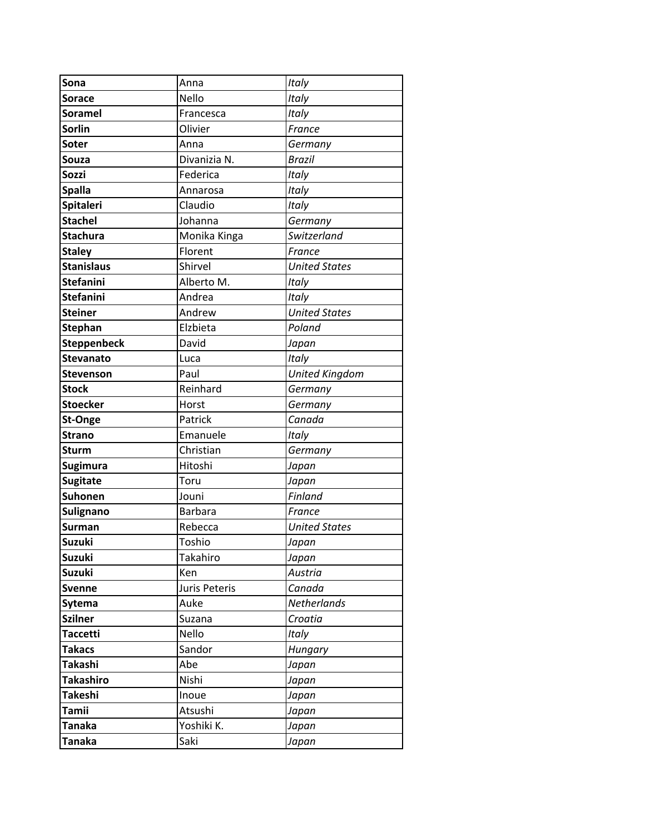| Sona               | Anna                 | Italy                 |
|--------------------|----------------------|-----------------------|
| Sorace             | Nello                | Italy                 |
| <b>Soramel</b>     | Francesca            | Italy                 |
| <b>Sorlin</b>      | Olivier              | France                |
| <b>Soter</b>       | Anna                 | Germany               |
| Souza              | Divanizia N.         | <b>Brazil</b>         |
| Sozzi              | Federica             | Italy                 |
| <b>Spalla</b>      | Annarosa             | Italy                 |
| <b>Spitaleri</b>   | Claudio              | Italy                 |
| <b>Stachel</b>     | Johanna              | Germany               |
| <b>Stachura</b>    | Monika Kinga         | Switzerland           |
| <b>Staley</b>      | Florent              | France                |
| <b>Stanislaus</b>  | Shirvel              | <b>United States</b>  |
| <b>Stefanini</b>   | Alberto M.           | Italy                 |
| <b>Stefanini</b>   | Andrea               | Italy                 |
| <b>Steiner</b>     | Andrew               | <b>United States</b>  |
| <b>Stephan</b>     | Elzbieta             | Poland                |
| <b>Steppenbeck</b> | David                | Japan                 |
| <b>Stevanato</b>   | Luca                 | <b>Italy</b>          |
| <b>Stevenson</b>   | Paul                 | <b>United Kingdom</b> |
| <b>Stock</b>       | Reinhard             | Germany               |
| <b>Stoecker</b>    | Horst                | Germany               |
| <b>St-Onge</b>     | Patrick              | Canada                |
| <b>Strano</b>      | Emanuele             | Italy                 |
| <b>Sturm</b>       | Christian            | Germany               |
| <b>Sugimura</b>    | Hitoshi              | Japan                 |
| <b>Sugitate</b>    | Toru                 | Japan                 |
| <b>Suhonen</b>     | Jouni                | Finland               |
| Sulignano          | <b>Barbara</b>       | France                |
| Surman             | Rebecca              | <b>United States</b>  |
| <b>Suzuki</b>      | Toshio               | Japan                 |
| Suzuki             | Takahiro             | Japan                 |
| Suzuki             | Ken                  | Austria               |
| <b>Svenne</b>      | <b>Juris Peteris</b> | Canada                |
| <b>Sytema</b>      | Auke                 | Netherlands           |
| <b>Szilner</b>     | Suzana               | Croatia               |
| <b>Taccetti</b>    | Nello                | Italy                 |
| <b>Takacs</b>      | Sandor               | Hungary               |
| <b>Takashi</b>     | Abe                  | Japan                 |
| <b>Takashiro</b>   | Nishi                | Japan                 |
| <b>Takeshi</b>     | Inoue                | Japan                 |
| <b>Tamii</b>       | Atsushi              | Japan                 |
| <b>Tanaka</b>      | Yoshiki K.           | Japan                 |
| <b>Tanaka</b>      | Saki                 | Japan                 |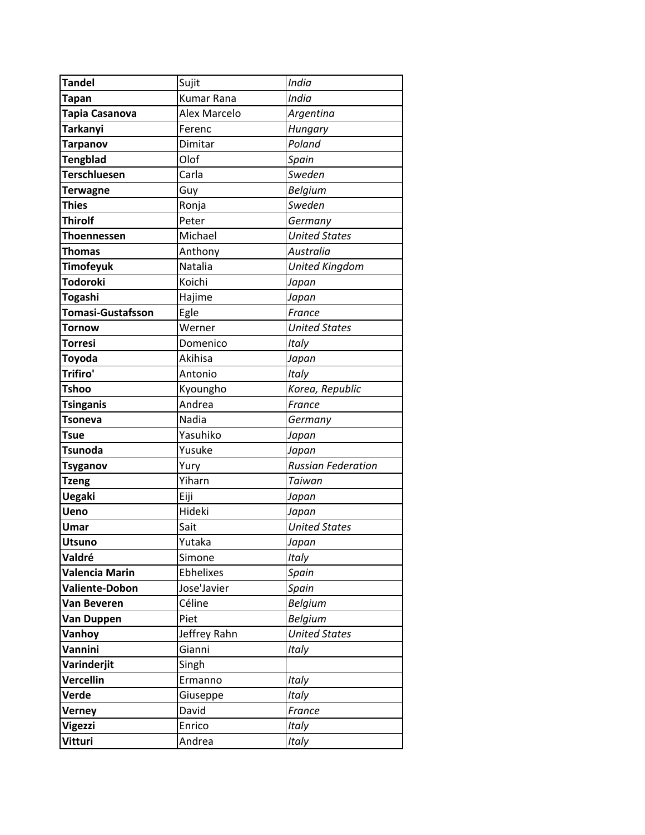| <b>Tandel</b>            | Sujit        | India                     |
|--------------------------|--------------|---------------------------|
| Tapan                    | Kumar Rana   | India                     |
| Tapia Casanova           | Alex Marcelo | Argentina                 |
| <b>Tarkanyi</b>          | Ferenc       | Hungary                   |
| <b>Tarpanov</b>          | Dimitar      | Poland                    |
| <b>Tengblad</b>          | Olof         | Spain                     |
| <b>Terschluesen</b>      | Carla        | Sweden                    |
| <b>Terwagne</b>          | Guy          | <b>Belgium</b>            |
| <b>Thies</b>             | Ronja        | Sweden                    |
| <b>Thirolf</b>           | Peter        | Germany                   |
| Thoennessen              | Michael      | <b>United States</b>      |
| Thomas                   | Anthony      | Australia                 |
| <b>Timofeyuk</b>         | Natalia      | United Kingdom            |
| <b>Todoroki</b>          | Koichi       | Japan                     |
| <b>Togashi</b>           | Hajime       | Japan                     |
| <b>Tomasi-Gustafsson</b> | Egle         | France                    |
| Tornow                   | Werner       | <b>United States</b>      |
| <b>Torresi</b>           | Domenico     | Italy                     |
| <b>Toyoda</b>            | Akihisa      | Japan                     |
| Trifiro'                 | Antonio      | Italy                     |
| <b>Tshoo</b>             | Kyoungho     | Korea, Republic           |
| <b>Tsinganis</b>         | Andrea       | France                    |
| <b>Tsoneva</b>           | Nadia        | Germany                   |
| <b>Tsue</b>              | Yasuhiko     | Japan                     |
| <b>Tsunoda</b>           | Yusuke       | Japan                     |
| <b>Tsyganov</b>          | Yury         | <b>Russian Federation</b> |
| <b>Tzeng</b>             | Yiharn       | Taiwan                    |
| <b>Uegaki</b>            | Eiji         | Japan                     |
| <b>Ueno</b>              | Hideki       | Japan                     |
| Umar                     | Sait         | <b>United States</b>      |
| <b>Utsuno</b>            | Yutaka       | Japan                     |
| Valdré                   | Simone       | <b>Italy</b>              |
| Valencia Marin           | Ebhelixes    | Spain                     |
| <b>Valiente-Dobon</b>    | Jose'Javier  | Spain                     |
| <b>Van Beveren</b>       | Céline       | <b>Belgium</b>            |
| Van Duppen               | Piet         | <b>Belgium</b>            |
| Vanhoy                   | Jeffrey Rahn | <b>United States</b>      |
| Vannini                  | Gianni       | Italy                     |
| Varinderjit              | Singh        |                           |
| Vercellin                | Ermanno      | Italy                     |
| Verde                    | Giuseppe     | Italy                     |
| Verney                   | David        | France                    |
| Vigezzi                  | Enrico       | <b>Italy</b>              |
| <b>Vitturi</b>           | Andrea       | Italy                     |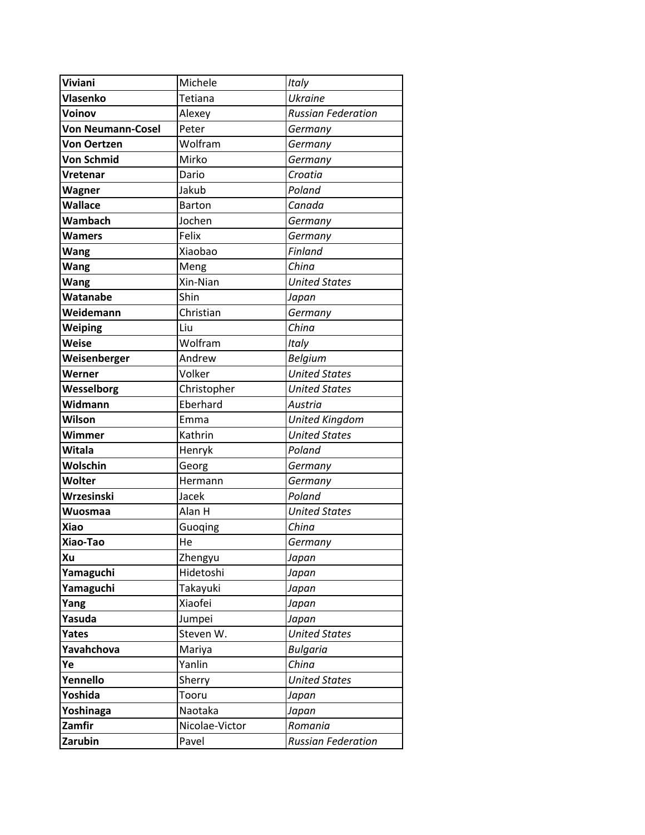| Viviani                  | Michele        | Italy                     |
|--------------------------|----------------|---------------------------|
| Vlasenko                 | Tetiana        | <b>Ukraine</b>            |
| Voinov                   | Alexey         | <b>Russian Federation</b> |
| <b>Von Neumann-Cosel</b> | Peter          | Germany                   |
| <b>Von Oertzen</b>       | Wolfram        | Germany                   |
| <b>Von Schmid</b>        | Mirko          | Germany                   |
| Vretenar                 | Dario          | Croatia                   |
| Wagner                   | Jakub          | Poland                    |
| <b>Wallace</b>           | <b>Barton</b>  | Canada                    |
| Wambach                  | Jochen         | Germany                   |
| <b>Wamers</b>            | Felix          | Germany                   |
| <b>Wang</b>              | Xiaobao        | <b>Finland</b>            |
| <b>Wang</b>              | Meng           | China                     |
| Wang                     | Xin-Nian       | <b>United States</b>      |
| Watanabe                 | Shin           | Japan                     |
| Weidemann                | Christian      | Germany                   |
| <b>Weiping</b>           | Liu            | China                     |
| Weise                    | Wolfram        | Italy                     |
| Weisenberger             | Andrew         | Belgium                   |
| Werner                   | Volker         | <b>United States</b>      |
| Wesselborg               | Christopher    | <b>United States</b>      |
| Widmann                  | Eberhard       | Austria                   |
| Wilson                   | Emma           | <b>United Kingdom</b>     |
| Wimmer                   | Kathrin        | <b>United States</b>      |
| <b>Witala</b>            | Henryk         | Poland                    |
| Wolschin                 | Georg          | Germany                   |
| <b>Wolter</b>            | Hermann        | Germany                   |
| Wrzesinski               | Jacek          | Poland                    |
| Wuosmaa                  | Alan H         | <b>United States</b>      |
| Xiao                     | Guoqing        | China                     |
| Xiao-Tao                 | He             | Germany                   |
| Xu                       | Zhengyu        | Japan                     |
| Yamaguchi                | Hidetoshi      | Japan                     |
| Yamaguchi                | Takayuki       | Japan                     |
| Yang                     | Xiaofei        | Japan                     |
| Yasuda                   | Jumpei         | Japan                     |
| <b>Yates</b>             | Steven W.      | <b>United States</b>      |
| Yavahchova               | Mariya         | <b>Bulgaria</b>           |
| Ye                       | Yanlin         | China                     |
| Yennello                 | Sherry         | <b>United States</b>      |
| Yoshida                  | Tooru          | Japan                     |
| Yoshinaga                | Naotaka        | Japan                     |
| Zamfir                   | Nicolae-Victor | Romania                   |
| Zarubin                  | Pavel          | <b>Russian Federation</b> |